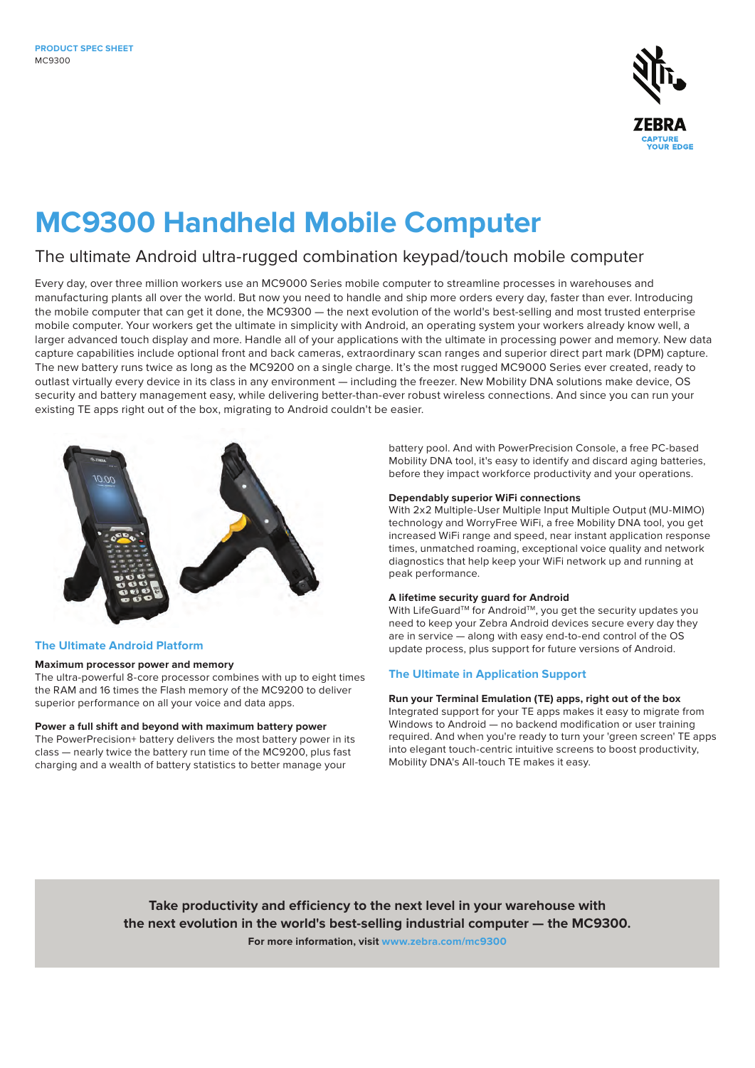

# **MC9300 Handheld Mobile Computer**

### The ultimate Android ultra-rugged combination keypad/touch mobile computer

Every day, over three million workers use an MC9000 Series mobile computer to streamline processes in warehouses and manufacturing plants all over the world. But now you need to handle and ship more orders every day, faster than ever. Introducing the mobile computer that can get it done, the MC9300 — the next evolution of the world's best-selling and most trusted enterprise mobile computer. Your workers get the ultimate in simplicity with Android, an operating system your workers already know well, a larger advanced touch display and more. Handle all of your applications with the ultimate in processing power and memory. New data capture capabilities include optional front and back cameras, extraordinary scan ranges and superior direct part mark (DPM) capture. The new battery runs twice as long as the MC9200 on a single charge. It's the most rugged MC9000 Series ever created, ready to outlast virtually every device in its class in any environment — including the freezer. New Mobility DNA solutions make device, OS security and battery management easy, while delivering better-than-ever robust wireless connections. And since you can run your existing TE apps right out of the box, migrating to Android couldn't be easier.



#### **The Ultimate Android Platform**

#### **Maximum processor power and memory**

The ultra-powerful 8-core processor combines with up to eight times the RAM and 16 times the Flash memory of the MC9200 to deliver superior performance on all your voice and data apps.

#### **Power a full shift and beyond with maximum battery power**

The PowerPrecision+ battery delivers the most battery power in its class — nearly twice the battery run time of the MC9200, plus fast charging and a wealth of battery statistics to better manage your

battery pool. And with PowerPrecision Console, a free PC-based Mobility DNA tool, it's easy to identify and discard aging batteries, before they impact workforce productivity and your operations.

#### **Dependably superior WiFi connections**

With 2x2 Multiple-User Multiple Input Multiple Output (MU-MIMO) technology and WorryFree WiFi, a free Mobility DNA tool, you get increased WiFi range and speed, near instant application response times, unmatched roaming, exceptional voice quality and network diagnostics that help keep your WiFi network up and running at peak performance.

#### **A lifetime security guard for Android**

With LifeGuard™ for Android™, you get the security updates you need to keep your Zebra Android devices secure every day they are in service — along with easy end-to-end control of the OS update process, plus support for future versions of Android.

#### **The Ultimate in Application Support**

#### **Run your Terminal Emulation (TE) apps, right out of the box**

Integrated support for your TE apps makes it easy to migrate from Windows to Android — no backend modification or user training required. And when you're ready to turn your 'green screen' TE apps into elegant touch-centric intuitive screens to boost productivity, Mobility DNA's All-touch TE makes it easy.

**Take productivity and efficiency to the next level in your warehouse with the next evolution in the world's best-selling industrial computer — the MC9300. For more information, visit [www.zebra.com/m](http://www.zebra.com/mc9300)c9300**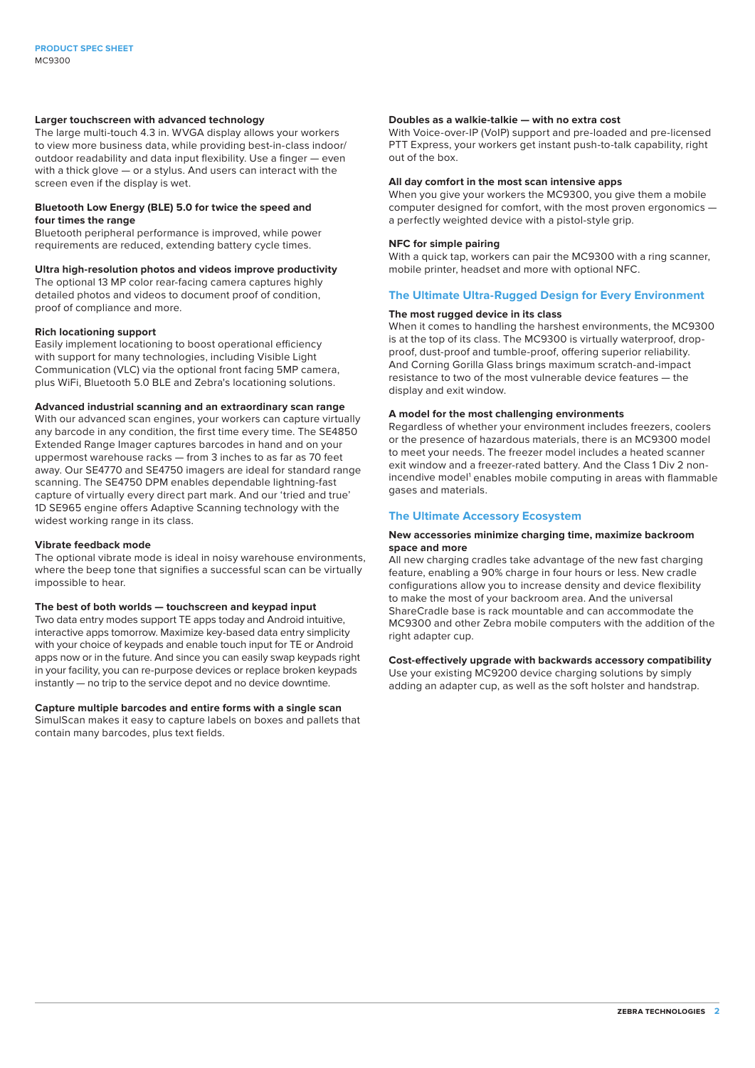#### **Larger touchscreen with advanced technology**

The large multi-touch 4.3 in. WVGA display allows your workers to view more business data, while providing best-in-class indoor/ outdoor readability and data input flexibility. Use a finger — even with a thick glove — or a stylus. And users can interact with the screen even if the display is wet.

#### **Bluetooth Low Energy (BLE) 5.0 for twice the speed and four times the range**

Bluetooth peripheral performance is improved, while power requirements are reduced, extending battery cycle times.

#### **Ultra high-resolution photos and videos improve productivity**

The optional 13 MP color rear-facing camera captures highly detailed photos and videos to document proof of condition, proof of compliance and more.

#### **Rich locationing support**

Easily implement locationing to boost operational efficiency with support for many technologies, including Visible Light Communication (VLC) via the optional front facing 5MP camera, plus WiFi, Bluetooth 5.0 BLE and Zebra's locationing solutions.

#### **Advanced industrial scanning and an extraordinary scan range**

With our advanced scan engines, your workers can capture virtually any barcode in any condition, the first time every time. The SE4850 Extended Range Imager captures barcodes in hand and on your uppermost warehouse racks — from 3 inches to as far as 70 feet away. Our SE4770 and SE4750 imagers are ideal for standard range scanning. The SE4750 DPM enables dependable lightning-fast capture of virtually every direct part mark. And our 'tried and true' 1D SE965 engine offers Adaptive Scanning technology with the widest working range in its class.

#### **Vibrate feedback mode**

The optional vibrate mode is ideal in noisy warehouse environments, where the beep tone that signifies a successful scan can be virtually impossible to hear.

#### **The best of both worlds — touchscreen and keypad input**

Two data entry modes support TE apps today and Android intuitive, interactive apps tomorrow. Maximize key-based data entry simplicity with your choice of keypads and enable touch input for TE or Android apps now or in the future. And since you can easily swap keypads right in your facility, you can re-purpose devices or replace broken keypads instantly — no trip to the service depot and no device downtime.

#### **Capture multiple barcodes and entire forms with a single scan**

SimulScan makes it easy to capture labels on boxes and pallets that contain many barcodes, plus text fields.

#### **Doubles as a walkie-talkie — with no extra cost**

With Voice-over-IP (VoIP) support and pre-loaded and pre-licensed PTT Express, your workers get instant push-to-talk capability, right out of the box.

#### **All day comfort in the most scan intensive apps**

When you give your workers the MC9300, you give them a mobile computer designed for comfort, with the most proven ergonomics a perfectly weighted device with a pistol-style grip.

#### **NFC for simple pairing**

With a quick tap, workers can pair the MC9300 with a ring scanner, mobile printer, headset and more with optional NFC.

#### **The Ultimate Ultra-Rugged Design for Every Environment**

#### **The most rugged device in its class**

When it comes to handling the harshest environments, the MC9300 is at the top of its class. The MC9300 is virtually waterproof, dropproof, dust-proof and tumble-proof, offering superior reliability. And Corning Gorilla Glass brings maximum scratch-and-impact resistance to two of the most vulnerable device features — the display and exit window.

#### **A model for the most challenging environments**

Regardless of whether your environment includes freezers, coolers or the presence of hazardous materials, there is an MC9300 model to meet your needs. The freezer model includes a heated scanner exit window and a freezer-rated battery. And the Class 1 Div 2 nonincendive model<sup>1</sup> enables mobile computing in areas with flammable gases and materials.

#### **The Ultimate Accessory Ecosystem**

#### **New accessories minimize charging time, maximize backroom space and more**

All new charging cradles take advantage of the new fast charging feature, enabling a 90% charge in four hours or less. New cradle configurations allow you to increase density and device flexibility to make the most of your backroom area. And the universal ShareCradle base is rack mountable and can accommodate the MC9300 and other Zebra mobile computers with the addition of the right adapter cup.

#### **Cost-effectively upgrade with backwards accessory compatibility**

Use your existing MC9200 device charging solutions by simply adding an adapter cup, as well as the soft holster and handstrap.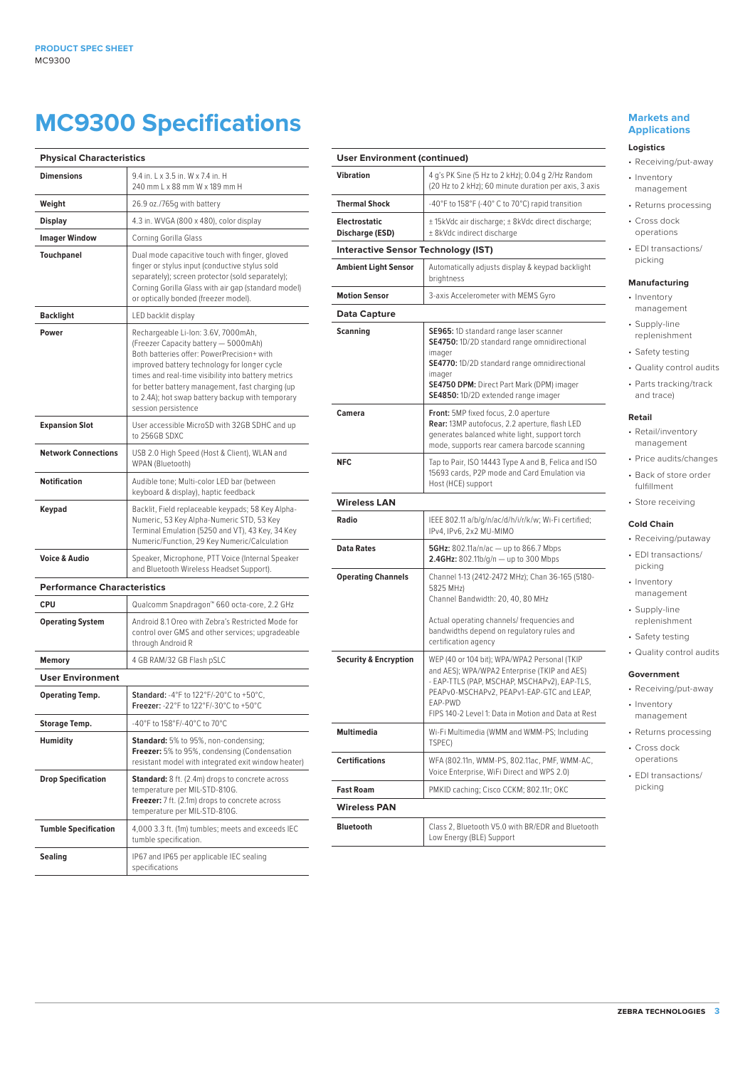## **MC9300 Specifications**

| <b>Physical Characteristics</b>    |                                                                                                                                                                                                                                                                                                                                                                 |
|------------------------------------|-----------------------------------------------------------------------------------------------------------------------------------------------------------------------------------------------------------------------------------------------------------------------------------------------------------------------------------------------------------------|
| <b>Dimensions</b>                  | 9.4 in. L x 3.5 in. W x 7.4 in. H<br>240 mm L x 88 mm W x 189 mm H                                                                                                                                                                                                                                                                                              |
| Weight                             | 26.9 oz./765g with battery                                                                                                                                                                                                                                                                                                                                      |
| Display                            | 4.3 in. WVGA (800 x 480), color display                                                                                                                                                                                                                                                                                                                         |
| Imager Window                      | Corning Gorilla Glass                                                                                                                                                                                                                                                                                                                                           |
| <b>Touchpanel</b>                  | Dual mode capacitive touch with finger, gloved<br>finger or stylus input (conductive stylus sold<br>separately); screen protector (sold separately);<br>Corning Gorilla Glass with air gap (standard model)<br>or optically bonded (freezer model).                                                                                                             |
| Backlight                          | LED backlit display                                                                                                                                                                                                                                                                                                                                             |
| Power                              | Rechargeable Li-Ion: 3.6V, 7000mAh,<br>(Freezer Capacity battery - 5000mAh)<br>Both batteries offer: PowerPrecision+ with<br>improved battery technology for longer cycle<br>times and real-time visibility into battery metrics<br>for better battery management, fast charging (up<br>to 2.4A); hot swap battery backup with temporary<br>session persistence |
| <b>Expansion Slot</b>              | User accessible MicroSD with 32GB SDHC and up<br>to 256GB SDXC                                                                                                                                                                                                                                                                                                  |
| <b>Network Connections</b>         | USB 2.0 High Speed (Host & Client), WLAN and<br>WPAN (Bluetooth)                                                                                                                                                                                                                                                                                                |
| Notification                       | Audible tone; Multi-color LED bar (between<br>keyboard & display), haptic feedback                                                                                                                                                                                                                                                                              |
| Keypad                             | Backlit, Field replaceable keypads; 58 Key Alpha-<br>Numeric, 53 Key Alpha-Numeric STD, 53 Key<br>Terminal Emulation (5250 and VT), 43 Key, 34 Key<br>Numeric/Function, 29 Key Numeric/Calculation                                                                                                                                                              |
| <b>Voice &amp; Audio</b>           | Speaker, Microphone, PTT Voice (Internal Speaker<br>and Bluetooth Wireless Headset Support).                                                                                                                                                                                                                                                                    |
| <b>Performance Characteristics</b> |                                                                                                                                                                                                                                                                                                                                                                 |
| CPU                                | Qualcomm Snapdragon™ 660 octa-core, 2.2 GHz                                                                                                                                                                                                                                                                                                                     |
| <b>Operating System</b>            | Android 8.1 Oreo with Zebra's Restricted Mode for<br>control over GMS and other services; upgradeable<br>through Android R                                                                                                                                                                                                                                      |
| Memory                             | 4 GB RAM/32 GB Flash pSLC                                                                                                                                                                                                                                                                                                                                       |
| <b>User Environment</b>            |                                                                                                                                                                                                                                                                                                                                                                 |
| <b>Operating Temp.</b>             | Standard: -4°F to 122°F/-20°C to +50°C,<br>Freezer: - 22°F to 122°F/-30°C to +50°C                                                                                                                                                                                                                                                                              |
| Storage Temp.                      | -40°F to 158°F/-40°C to 70°C                                                                                                                                                                                                                                                                                                                                    |
| Humidity                           | <b>Standard:</b> 5% to 95%, non-condensing;<br>Freezer: 5% to 95%, condensing (Condensation<br>resistant model with integrated exit window heater)                                                                                                                                                                                                              |
| Drop Specification                 | <b>Standard:</b> 8 ft. (2.4m) drops to concrete across<br>temperature per MIL-STD-810G.<br>Freezer: 7 ft. (2.1m) drops to concrete across<br>temperature per MIL-STD-810G.                                                                                                                                                                                      |
| <b>Tumble Specification</b>        | 4,000 3.3 ft. (1m) tumbles; meets and exceeds IEC<br>tumble specification.                                                                                                                                                                                                                                                                                      |
| Sealing                            | IP67 and IP65 per applicable IEC sealing<br>specifications                                                                                                                                                                                                                                                                                                      |

#### **User Environment (continued) Vibration** 4 g's PK Sine (5 Hz to 2 kHz); 0.04 g 2/Hz Random (20 Hz to 2 kHz); 60 minute duration per axis, 3 axis **Thermal Shock** -40°F to 158°F (-40°C to 70°C) rapid transition **Electrostatic Discharge (ESD)** ± 15kVdc air discharge; ± 8kVdc direct discharge; ± 8kVdc indirect discharge **Interactive Sensor Technology (IST) Ambient Light Sensor** | Automatically adjusts display & keypad backlight brightness **Motion Sensor** 3-axis Accelerometer with MEMS Gyro **Data Capture Scanning SE965:** 1D standard range laser scanner **SE4750:** 1D/2D standard range omnidirectional imager **SE4770:** 1D/2D standard range omnidirectional imager **SE4750 DPM:** Direct Part Mark (DPM) imager **SE4850:** 1D/2D extended range imager **Camera Front:** 5MP fixed focus, 2.0 aperture **Rear:** 13MP autofocus, 2.2 aperture, flash LED generates balanced white light, support torch mode, supports rear camera barcode scanning **NFC** Tap to Pair, ISO 14443 Type A and B, Felica and ISO 15693 cards, P2P mode and Card Emulation via Host (HCE) support **Wireless LAN** Radio **Radio** IEEE 802.11 a/b/g/n/ac/d/h/i/r/k/w; Wi-Fi certified; IPv4, IPv6, 2x2 MU-MIMO **Data Rates 5GHz:** 802.11a/n/ac — up to 866.7 Mbps **2.4GHz:** 802.11b/g/n — up to 300 Mbps **Operating Channels** Channel 1-13 (2412-2472 MHz); Chan 36-165 (5180- 5825 MHz) Channel Bandwidth: 20, 40, 80 MHz Actual operating channels/ frequencies and bandwidths depend on regulatory rules and certification agency **Security & Encryption** WEP (40 or 104 bit); WPA/WPA2 Personal (TKIP and AES); WPA/WPA2 Enterprise (TKIP and AES) - EAP-TTLS (PAP, MSCHAP, MSCHAPv2), EAP-TLS, PEAPv0-MSCHAPv2, PEAPv1-EAP-GTC and LEAP, EAP-PWD FIPS 140-2 Level 1: Data in Motion and Data at Rest **Multimedia** Wi-Fi Multimedia (WMM and WMM-PS; Including TSPEC) **Certifications** WFA (802.11n, WMM-PS, 802.11ac, PMF, WMM-AC, Voice Enterprise, WiFi Direct and WPS 2.0) **Fast Roam** PMKID caching; Cisco CCKM; 802.11r; OKC **Wireless PAN Bluetooth** Class 2, Bluetooth V5.0 with BR/EDR and Bluetooth Low Energy (BLE) Support

#### **Markets and Applications**

#### **Logistics**

- Receiving/put-away
- Inventory management
- Returns processing
- Cross dock operations
- EDI transactions/ picking

#### **Manufacturing**

- Inventory management
- Supply-line replenishment
- Safety testing
- Quality control audits
- Parts tracking/track and trace)

#### **Retail**

- Retail/inventory management
- Price audits/changes
- Back of store order fulfillment
- Store receiving

#### **Cold Chain**

- Receiving/putaway
- EDI transactions/
- picking • Inventory
- management
- Supply-line replenishment
- Safety testing
- Quality control audits

#### **Government**

- Receiving/put-away
- Inventory management
- 
- Returns processing • Cross dock
- operations
- EDI transactions/ picking